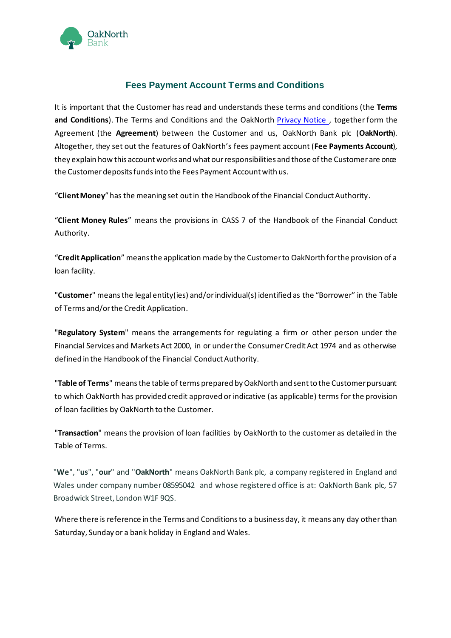

# **Fees Payment Account Terms and Conditions**

It is important that the Customer has read and understands these terms and conditions (the **Terms and Conditions**). The Terms and Conditions and the OakNorth [Privacy Notice](https://www.oaknorth.co.uk/privacy-notice/privacy-notice-deposit-products/) [,](https://www.oaknorth.com/legal/privacy-policy) together form the Agreement (the **Agreement**) between the Customer and us, OakNorth Bank plc (**OakNorth**). Altogether, they set out the features of OakNorth's fees payment account (**Fee Payments Account**), they explain how this account works and what our responsibilities and those of the Customer are once the Customer deposits funds into the Fees Payment Account with us.

"**Client Money**" has the meaning set out in the Handbook of the Financial Conduct Authority.

"**Client Money Rules**" means the provisions in CASS 7 of the Handbook of the Financial Conduct Authority.

"**Credit Application**" means the application made by the Customer to OakNorth for the provision of a loan facility.

"**Customer**" means the legal entity(ies) and/or individual(s) identified as the "Borrower" in the Table of Terms and/or the Credit Application.

"**Regulatory System**" means the arrangements for regulating a firm or other person under the Financial Services and Markets Act 2000, in or under the Consumer Credit Act 1974 and as otherwise defined in the Handbook of the Financial Conduct Authority.

"**Table of Terms**" meansthe table of terms prepared by OakNorth and sent to the Customer pursuant to which OakNorth has provided credit approved or indicative (as applicable) terms for the provision of loan facilities by OakNorth to the Customer.

"**Transaction**" means the provision of loan facilities by OakNorth to the customer as detailed in the Table of Terms.

"**We**", "**us**", "**our**" and "**OakNorth**" means OakNorth Bank plc, a company registered in England and Wales under company number 08595042 and whose registered office is at: OakNorth Bank plc, 57 Broadwick Street, London W1F 9QS.

Where there is reference in the Terms and Conditions to a business day, it means any day other than Saturday, Sunday or a bank holiday in England and Wales.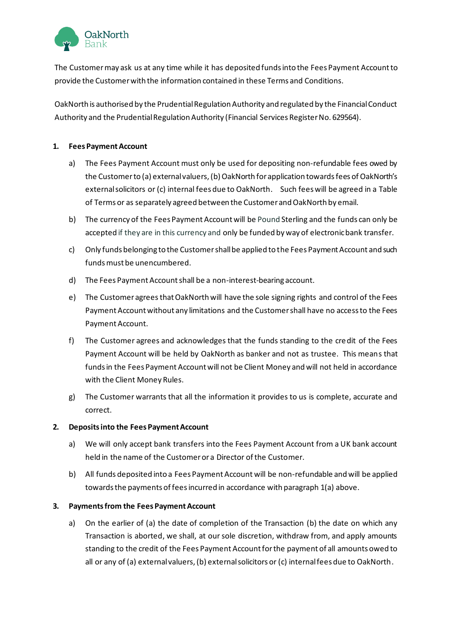

The Customer may ask us at any time while it has deposited funds into the Fees Payment Account to provide the Customer with the information contained in these Terms and Conditions.

OakNorth is authorised by the Prudential Regulation Authority and regulated by the Financial Conduct Authority and the Prudential Regulation Authority (Financial Services Register No. 629564).

# **1. Fees PaymentAccount**

- a) The Fees Payment Account must only be used for depositing non-refundable fees owed by the Customer to (a) external valuers, (b) OakNorth for application towards fees of OakNorth's external solicitors or (c) internal fees due to OakNorth. Such fees will be agreed in a Table of Terms or as separately agreed between the Customer and OakNorth by email.
- b) The currency of the Fees Payment Account will be Pound Sterling and the funds can only be accepted if they are in this currency and only be funded by way of electronic bank transfer.
- c) Only funds belonging to the Customer shall be applied to the Fees Payment Account and such funds must be unencumbered.
- d) The Fees Payment Account shall be a non-interest-bearing account.
- e) The Customer agrees that OakNorth will have the sole signing rights and control of the Fees Payment Account without any limitations and the Customer shall have no access to the Fees Payment Account.
- f) The Customer agrees and acknowledges that the funds standing to the credit of the Fees Payment Account will be held by OakNorth as banker and not as trustee. This means that funds in the Fees Payment Account will not be Client Money and will not held in accordance with the Client Money Rules.
- g) The Customer warrants that all the information it provides to us is complete, accurate and correct.

# **2. Deposits into the Fees Payment Account**

- a) We will only accept bank transfers into the Fees Payment Account from a UK bank account held in the name of the Customer or a Director of the Customer.
- b) All funds deposited into a Fees Payment Account will be non-refundable and will be applied towards the payments of fees incurred in accordance with paragraph 1(a) above.

# **3.** Payments from the Fees Payment Account

a) On the earlier of (a) the date of completion of the Transaction (b) the date on which any Transaction is aborted, we shall, at our sole discretion, withdraw from, and apply amounts standing to the credit of the Fees Payment Account for the payment of all amounts owed to all or any of (a) external valuers, (b) external solicitors or (c) internal fees due to OakNorth.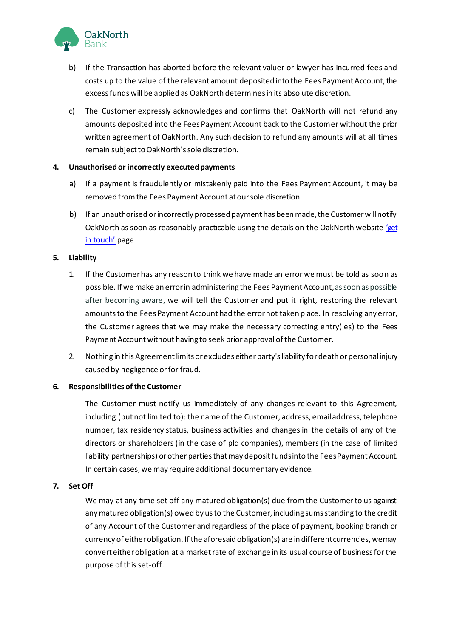

- b) If the Transaction has aborted before the relevant valuer or lawyer has incurred fees and costs up to the value of the relevant amount deposited into the Fees Payment Account, the excess funds will be applied as OakNorth determines in its absolute discretion.
- c) The Customer expressly acknowledges and confirms that OakNorth will not refund any amounts deposited into the Fees Payment Account back to the Customer without the prior written agreement of OakNorth. Any such decision to refund any amounts will at all times remain subject to OakNorth's sole discretion.

# **4. Unauthorised or incorrectly executed payments**

- a) If a payment is fraudulently or mistakenly paid into the Fees Payment Account, it may be removed from the Fees Payment Account at our sole discretion.
- b) If an unauthorised or incorrectly processed payment has been made, the Customer will notify OakNorth as soon as reasonably practicable using the details on the OakNorth website 'get [in touch'](https://www.oaknorth.co.uk/resources/get-in-touch/) page

# **5. Liability**

- 1. If the Customer has any reason to think we have made an error we must be told as soon as possible. If we make an error in administering the Fees Payment Account, as soon as possible after becoming aware, we will tell the Customer and put it right, restoring the relevant amounts to the Fees Payment Account had the error not taken place. In resolving any error, the Customer agrees that we may make the necessary correcting entry(ies) to the Fees Payment Account without having to seek prior approval of the Customer.
- 2. Nothing in this Agreement limits or excludes either party's liability for death or personal injury caused by negligence or for fraud.

## **6. Responsibilities of the Customer**

The Customer must notify us immediately of any changes relevant to this Agreement, including (but not limited to): the name of the Customer, address, email address, telephone number, tax residency status, business activities and changes in the details of any of the directors or shareholders (in the case of plc companies), members (in the case of limited liability partnerships) or other parties that may deposit funds into the Fees Payment Account. In certain cases, we may require additional documentary evidence.

## **7. Set Off**

We may at any time set off any matured obligation(s) due from the Customer to us against any matured obligation(s) owed by us to the Customer, including sums standing to the credit of any Account of the Customer and regardless of the place of payment, booking branch or currency of either obligation. If the aforesaid obligation(s) are in different currencies, we may convert either obligation at a market rate of exchange in its usual course of business for the purpose of this set-off.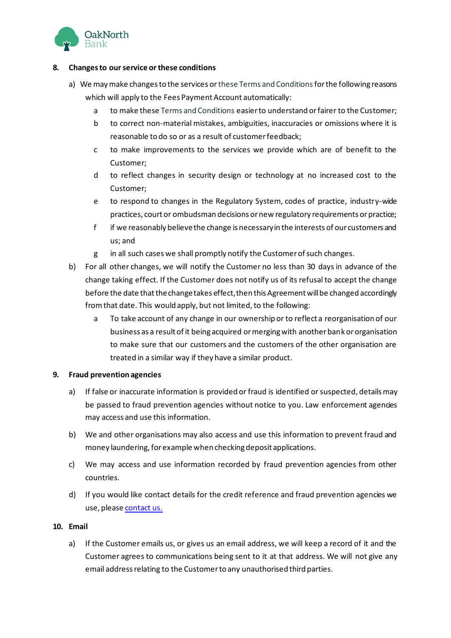

# **8. Changes to our service or these conditions**

- a) We may make changes to the services or these Terms and Conditions for the following reasons which will apply to the Fees Payment Account automatically:
	- a to make these Terms and Conditions easier to understand or fairer to the Customer;
	- b to correct non-material mistakes, ambiguities, inaccuracies or omissions where it is reasonable to do so or as a result of customer feedback;
	- c to make improvements to the services we provide which are of benefit to the Customer;
	- d to reflect changes in security design or technology at no increased cost to the Customer;
	- e to respond to changes in the Regulatory System, codes of practice, industry-wide practices, court or ombudsman decisions or new regulatory requirements or practice;
	- f if we reasonably believe the change is necessary in the interests of our customers and us; and
	- g in all such cases we shall promptly notify the Customer of such changes.
- b) For all other changes, we will notify the Customer no less than 30 days in advance of the change taking effect. If the Customer does not notify us of its refusal to accept the change before the date that the change takes effect, then this Agreement will be changed accordingly from that date. This would apply, but not limited, to the following:
	- a To take account of any change in our ownership or to reflect a reorganisation of our business as a result of it being acquired or merging with another bank or organisation to make sure that our customers and the customers of the other organisation are treated in a similar way if they have a similar product.

## **9. Fraud prevention agencies**

- a) If false or inaccurate information is provided or fraud is identified or suspected, details may be passed to fraud prevention agencies without notice to you. Law enforcement agencies may access and use this information.
- b) We and other organisations may also access and use this information to prevent fraud and money laundering, for example when checking deposit applications.
- c) We may access and use information recorded by fraud prevention agencies from other countries.
- d) If you would like contact details for the credit reference and fraud prevention agencies we us[e](http://www.oaknorth.com/get-touch), please [contact](https://www.oaknorth.co.uk/resources/get-in-touch/) us.

## **10. Email**

a) If the Customer emails us, or gives us an email address, we will keep a record of it and the Customer agrees to communications being sent to it at that address. We will not give any email address relating to the Customer to any unauthorised third parties.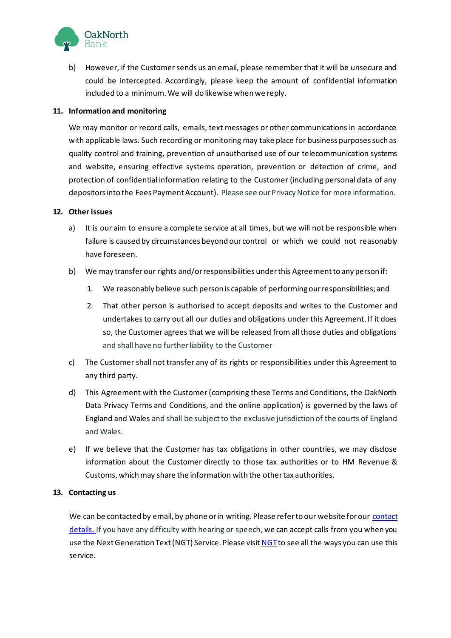

b) However, if the Customer sends us an email, please remember that it will be unsecure and could be intercepted. Accordingly, please keep the amount of confidential information included to a minimum. We will do likewise when we reply.

## **11. Information and monitoring**

We may monitor or record calls, emails, text messages or other communications in accordance with applicable laws. Such recording or monitoring may take place for business purposes such as quality control and training, prevention of unauthorised use of our telecommunication systems and website, ensuring effective systems operation, prevention or detection of crime, and protection of confidential information relating to the Customer (including personal data of any depositors into the Fees Payment Account). Please see our Privacy Notice for more information.

## **12. Other issues**

- a) It is our aim to ensure a complete service at all times, but we will not be responsible when failure is caused by circumstances beyond our control or which we could not reasonably have foreseen.
- b) We may transfer our rights and/or responsibilities under this Agreement to any person if:
	- 1. We reasonably believe such person is capable of performing our responsibilities; and
	- 2. That other person is authorised to accept deposits and writes to the Customer and undertakes to carry out all our duties and obligations under this Agreement. If it does so, the Customer agrees that we will be released from all those duties and obligations and shall have no further liability to the Customer
- c) The Customer shall not transfer any of its rights or responsibilities under this Agreement to any third party.
- d) This Agreement with the Customer (comprising these Terms and Conditions, the OakNorth Data Privacy Terms and Conditions, and the online application) is governed by the laws of England and Wales and shall be subject to the exclusive jurisdiction of the courts of England and Wales.
- e) If we believe that the Customer has tax obligations in other countries, we may disclose information about the Customer directly to those tax authorities or to HM Revenue & Customs, which may share the information with the other tax authorities.

## **13. Contacting us**

We can be contacted by email, by phone or in writing. Please refer to our website for our contact [detai](https://www.oaknorth.co.uk/resources/get-in-touch/)[ls.](http://www.oaknorth.com/get-touch) If you have any difficulty with hearing or speech, we can accept calls from you when you use the Next Generation Text (NGT) Service. Please visi[t NGT](http://ngts.org.uk/)to see all the ways you can use this service.